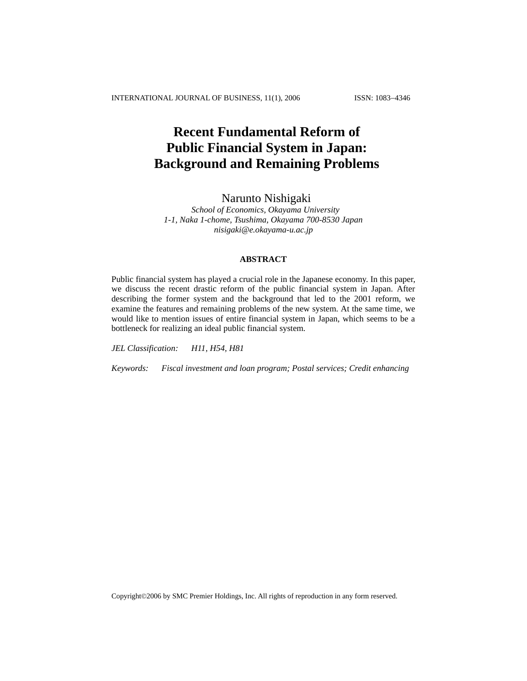# **Recent Fundamental Reform of Public Financial System in Japan: Background and Remaining Problems**

# Narunto Nishigaki

*School of Economics, Okayama University 1-1, Naka 1-chome, Tsushima, Okayama 700-8530 Japan [nisigaki@e.okayama-u.ac.jp](mailto:nisigaki@e.okayama-u.ac.jp)*

# **ABSTRACT**

Public financial system has played a crucial role in the Japanese economy. In this paper, we discuss the recent drastic reform of the public financial system in Japan. After describing the former system and the background that led to the 2001 reform, we examine the features and remaining problems of the new system. At the same time, we would like to mention issues of entire financial system in Japan, which seems to be a bottleneck for realizing an ideal public financial system.

*JEL Classification: H11, H54, H81*

*Keywords: Fiscal investment and loan program; Postal services; Credit enhancing* 

Copyright©2006 by SMC Premier Holdings, Inc. All rights of reproduction in any form reserved.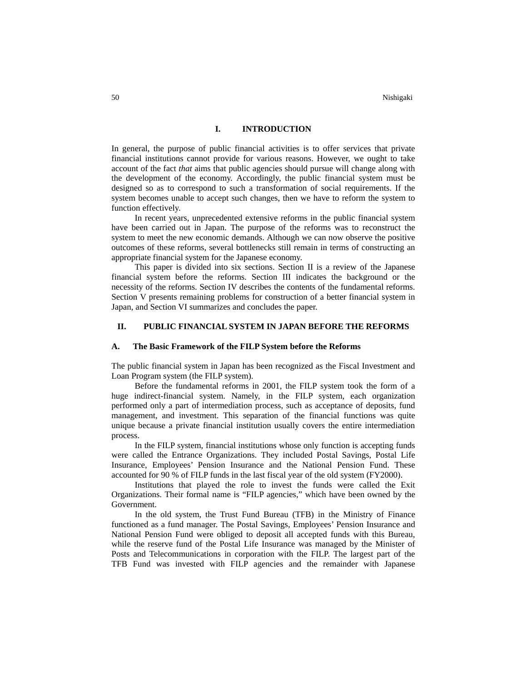## **I. INTRODUCTION**

In general, the purpose of public financial activities is to offer services that private financial institutions cannot provide for various reasons. However, we ought to take account of the fact *that* aims that public agencies should pursue will change along with the development of the economy. Accordingly, the public financial system must be designed so as to correspond to such a transformation of social requirements. If the system becomes unable to accept such changes, then we have to reform the system to function effectively.

In recent years, unprecedented extensive reforms in the public financial system have been carried out in Japan. The purpose of the reforms was to reconstruct the system to meet the new economic demands. Although we can now observe the positive outcomes of these reforms, several bottlenecks still remain in terms of constructing an appropriate financial system for the Japanese economy.

This paper is divided into six sections. Section II is a review of the Japanese financial system before the reforms. Section III indicates the background or the necessity of the reforms. Section IV describes the contents of the fundamental reforms. Section V presents remaining problems for construction of a better financial system in Japan, and Section VI summarizes and concludes the paper.

### **II. PUBLIC FINANCIAL SYSTEM IN JAPAN BEFORE THE REFORMS**

#### **A. The Basic Framework of the FILP System before the Reforms**

The public financial system in Japan has been recognized as the Fiscal Investment and Loan Program system (the FILP system).

Before the fundamental reforms in 2001, the FILP system took the form of a huge indirect-financial system. Namely, in the FILP system, each organization performed only a part of intermediation process, such as acceptance of deposits, fund management, and investment. This separation of the financial functions was quite unique because a private financial institution usually covers the entire intermediation process.

In the FILP system, financial institutions whose only function is accepting funds were called the Entrance Organizations. They included Postal Savings, Postal Life Insurance, Employees' Pension Insurance and the National Pension Fund. These accounted for 90 % of FILP funds in the last fiscal year of the old system (FY2000).

Institutions that played the role to invest the funds were called the Exit Organizations. Their formal name is "FILP agencies," which have been owned by the Government.

In the old system, the Trust Fund Bureau (TFB) in the Ministry of Finance functioned as a fund manager. The Postal Savings, Employees' Pension Insurance and National Pension Fund were obliged to deposit all accepted funds with this Bureau, while the reserve fund of the Postal Life Insurance was managed by the Minister of Posts and Telecommunications in corporation with the FILP. The largest part of the TFB Fund was invested with FILP agencies and the remainder with Japanese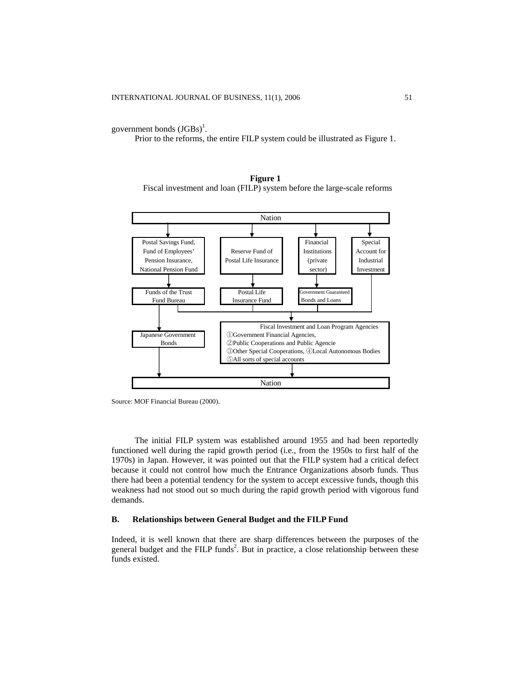government bonds  $(JGBs)^1$ .

Prior to the reforms, the entire FILP system could be illustrated as Figure 1.





Source: MOF Financial Bureau (2000).

The initial FILP system was established around 1955 and had been reportedly functioned well during the rapid growth period (i.e., from the 1950s to first half of the 1970s) in Japan. However, it was pointed out that the FILP system had a critical defect because it could not control how much the Entrance Organizations absorb funds. Thus there had been a potential tendency for the system to accept excessive funds, though this weakness had not stood out so much during the rapid growth period with vigorous fund demands.

## **B. Relationships between General Budget and the FILP Fund**

Indeed, it is well known that there are sharp differences between the purposes of the general budget and the FILP funds<sup>2</sup>. But in practice, a close relationship between these funds existed.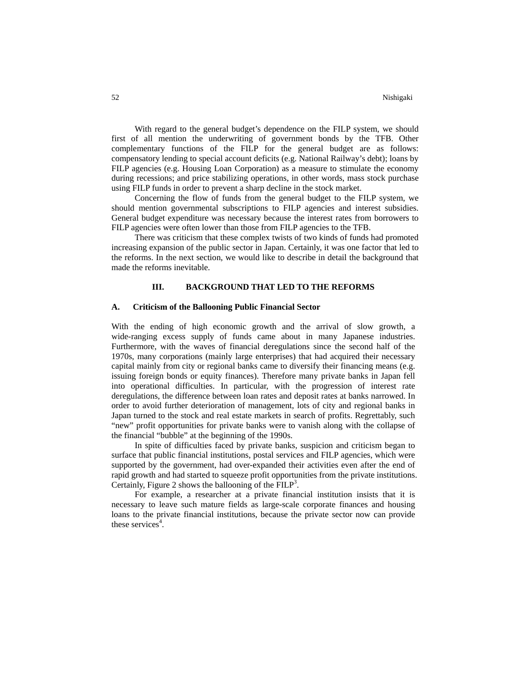With regard to the general budget's dependence on the FILP system, we should first of all mention the underwriting of government bonds by the TFB. Other complementary functions of the FILP for the general budget are as follows: compensatory lending to special account deficits (e.g. National Railway's debt); loans by FILP agencies (e.g. Housing Loan Corporation) as a measure to stimulate the economy during recessions; and price stabilizing operations, in other words, mass stock purchase using FILP funds in order to prevent a sharp decline in the stock market.

Concerning the flow of funds from the general budget to the FILP system, we should mention governmental subscriptions to FILP agencies and interest subsidies. General budget expenditure was necessary because the interest rates from borrowers to FILP agencies were often lower than those from FILP agencies to the TFB.

There was criticism that these complex twists of two kinds of funds had promoted increasing expansion of the public sector in Japan. Certainly, it was one factor that led to the reforms. In the next section, we would like to describe in detail the background that made the reforms inevitable.

## **III. BACKGROUND THAT LED TO THE REFORMS**

#### **A. Criticism of the Ballooning Public Financial Sector**

With the ending of high economic growth and the arrival of slow growth, a wide-ranging excess supply of funds came about in many Japanese industries. Furthermore, with the waves of financial deregulations since the second half of the 1970s, many corporations (mainly large enterprises) that had acquired their necessary capital mainly from city or regional banks came to diversify their financing means (e.g. issuing foreign bonds or equity finances). Therefore many private banks in Japan fell into operational difficulties. In particular, with the progression of interest rate deregulations, the difference between loan rates and deposit rates at banks narrowed. In order to avoid further deterioration of management, lots of city and regional banks in Japan turned to the stock and real estate markets in search of profits. Regrettably, such "new" profit opportunities for private banks were to vanish along with the collapse of the financial "bubble" at the beginning of the 1990s.

In spite of difficulties faced by private banks, suspicion and criticism began to surface that public financial institutions, postal services and FILP agencies, which were supported by the government, had over-expanded their activities even after the end of rapid growth and had started to squeeze profit opportunities from the private institutions. Certainly, Figure 2 shows the ballooning of the  $\overline{FILP}^3$ .

For example, a researcher at a private financial institution insists that it is necessary to leave such mature fields as large-scale corporate finances and housing loans to the private financial institutions, because the private sector now can provide these services<sup>4</sup>.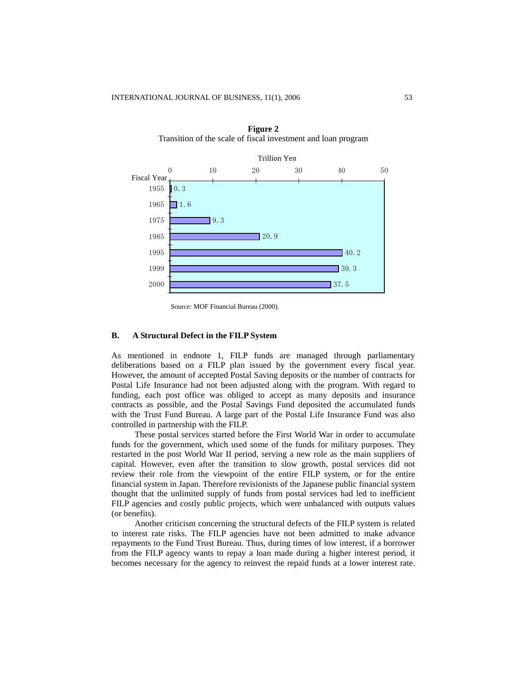

**Figure 2**  Transition of the scale of fiscal investment and loan program

Source: MOF Financial Bureau (2000).

## **B. A Structural Defect in the FILP System**

As mentioned in endnote 1, FILP funds are managed through parliamentary deliberations based on a FILP plan issued by the government every fiscal year. However, the amount of accepted Postal Saving deposits or the number of contracts for Postal Life Insurance had not been adjusted along with the program. With regard to funding, each post office was obliged to accept as many deposits and insurance contracts as possible, and the Postal Savings Fund deposited the accumulated funds with the Trust Fund Bureau. A large part of the Postal Life Insurance Fund was also controlled in partnership with the FILP.

These postal services started before the First World War in order to accumulate funds for the government, which used some of the funds for military purposes. They restarted in the post World War II period, serving a new role as the main suppliers of capital. However, even after the transition to slow growth, postal services did not review their role from the viewpoint of the entire FILP system, or for the entire financial system in Japan. Therefore revisionists of the Japanese public financial system thought that the unlimited supply of funds from postal services had led to inefficient FILP agencies and costly public projects, which were unbalanced with outputs values (or benefits).

Another criticism concerning the structural defects of the FILP system is related to interest rate risks. The FILP agencies have not been admitted to make advance repayments to the Fund Trust Bureau. Thus, during times of low interest, if a borrower from the FILP agency wants to repay a loan made during a higher interest period, it becomes necessary for the agency to reinvest the repaid funds at a lower interest rate.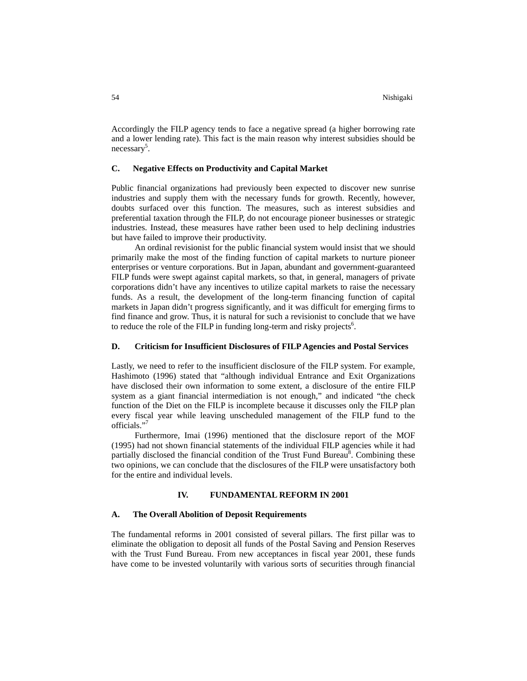Accordingly the FILP agency tends to face a negative spread (a higher borrowing rate and a lower lending rate). This fact is the main reason why interest subsidies should be necessary<sup>5</sup>.

## **C. Negative Effects on Productivity and Capital Market**

Public financial organizations had previously been expected to discover new sunrise industries and supply them with the necessary funds for growth. Recently, however, doubts surfaced over this function. The measures, such as interest subsidies and preferential taxation through the FILP, do not encourage pioneer businesses or strategic industries. Instead, these measures have rather been used to help declining industries but have failed to improve their productivity.

An ordinal revisionist for the public financial system would insist that we should primarily make the most of the finding function of capital markets to nurture pioneer enterprises or venture corporations. But in Japan, abundant and government-guaranteed FILP funds were swept against capital markets, so that, in general, managers of private corporations didn't have any incentives to utilize capital markets to raise the necessary funds. As a result, the development of the long-term financing function of capital markets in Japan didn't progress significantly, and it was difficult for emerging firms to find finance and grow. Thus, it is natural for such a revisionist to conclude that we have to reduce the role of the FILP in funding long-term and risky projects<sup>6</sup>.

## **D. Criticism for Insufficient Disclosures of FILPAgencies and Postal Services**

Lastly, we need to refer to the insufficient disclosure of the FILP system. For example, Hashimoto (1996) stated that "although individual Entrance and Exit Organizations have disclosed their own information to some extent, a disclosure of the entire FILP system as a giant financial intermediation is not enough," and indicated "the check function of the Diet on the FILP is incomplete because it discusses only the FILP plan every fiscal year while leaving unscheduled management of the FILP fund to the officials."7

Furthermore, Imai (1996) mentioned that the disclosure report of the MOF (1995) had not shown financial statements of the individual FILP agencies while it had partially disclosed the financial condition of the Trust Fund Bureau<sup>8</sup>. Combining these two opinions, we can conclude that the disclosures of the FILP were unsatisfactory both for the entire and individual levels.

## **IV. FUNDAMENTAL REFORM IN 2001**

#### **A. The Overall Abolition of Deposit Requirements**

The fundamental reforms in 2001 consisted of several pillars. The first pillar was to eliminate the obligation to deposit all funds of the Postal Saving and Pension Reserves with the Trust Fund Bureau. From new acceptances in fiscal year 2001, these funds have come to be invested voluntarily with various sorts of securities through financial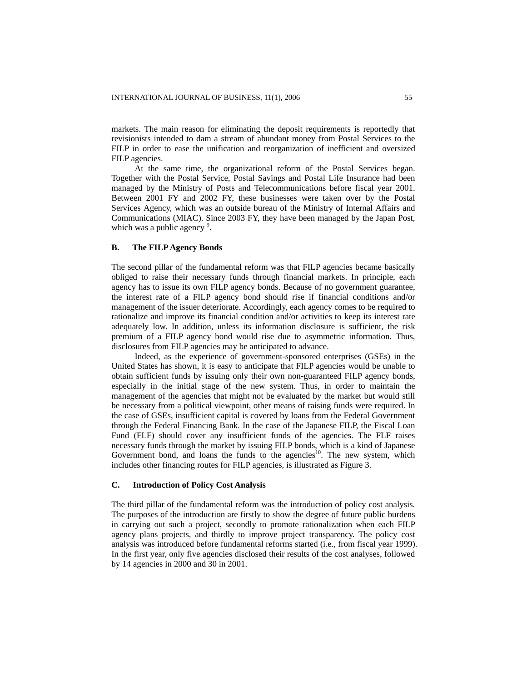markets. The main reason for eliminating the deposit requirements is reportedly that revisionists intended to dam a stream of abundant money from Postal Services to the FILP in order to ease the unification and reorganization of inefficient and oversized FILP agencies.

At the same time, the organizational reform of the Postal Services began. Together with the Postal Service, Postal Savings and Postal Life Insurance had been managed by the Ministry of Posts and Telecommunications before fiscal year 2001. Between 2001 FY and 2002 FY, these businesses were taken over by the Postal Services Agency, which was an outside bureau of the Ministry of Internal Affairs and Communications (MIAC). Since 2003 FY, they have been managed by the Japan Post, which was a public agency  $9$ .

### **B. The FILP Agency Bonds**

The second pillar of the fundamental reform was that FILP agencies became basically obliged to raise their necessary funds through financial markets. In principle, each agency has to issue its own FILP agency bonds. Because of no government guarantee, the interest rate of a FILP agency bond should rise if financial conditions and/or management of the issuer deteriorate. Accordingly, each agency comes to be required to rationalize and improve its financial condition and/or activities to keep its interest rate adequately low. In addition, unless its information disclosure is sufficient, the risk premium of a FILP agency bond would rise due to asymmetric information. Thus, disclosures from FILP agencies may be anticipated to advance.

Indeed, as the experience of government-sponsored enterprises (GSEs) in the United States has shown, it is easy to anticipate that FILP agencies would be unable to obtain sufficient funds by issuing only their own non-guaranteed FILP agency bonds, especially in the initial stage of the new system. Thus, in order to maintain the management of the agencies that might not be evaluated by the market but would still be necessary from a political viewpoint, other means of raising funds were required. In the case of GSEs, insufficient capital is covered by loans from the Federal Government through the Federal Financing Bank. In the case of the Japanese FILP, the Fiscal Loan Fund (FLF) should cover any insufficient funds of the agencies. The FLF raises necessary funds through the market by issuing FILP bonds, which is a kind of Japanese Government bond, and loans the funds to the agencies<sup>10</sup>. The new system, which includes other financing routes for FILP agencies, is illustrated as Figure 3.

## **C. Introduction of Policy Cost Analysis**

The third pillar of the fundamental reform was the introduction of policy cost analysis. The purposes of the introduction are firstly to show the degree of future public burdens in carrying out such a project, secondly to promote rationalization when each FILP agency plans projects, and thirdly to improve project transparency. The policy cost analysis was introduced before fundamental reforms started (i.e., from fiscal year 1999). In the first year, only five agencies disclosed their results of the cost analyses, followed by 14 agencies in 2000 and 30 in 2001.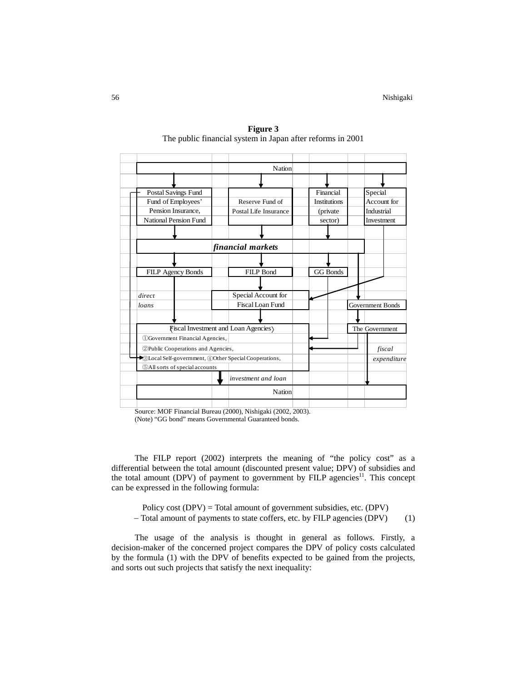|                                                        | <b>Nation</b>           |                     |                  |  |  |
|--------------------------------------------------------|-------------------------|---------------------|------------------|--|--|
|                                                        |                         |                     |                  |  |  |
| Postal Savings Fund                                    |                         | Financial           | Special          |  |  |
| Fund of Employees'                                     | Reserve Fund of         | <b>Institutions</b> | Account for      |  |  |
| Pension Insurance,                                     | Postal Life Insurance   | (private            | Industrial       |  |  |
| National Pension Fund                                  |                         | sector)             | Investment       |  |  |
|                                                        |                         |                     |                  |  |  |
| financial markets                                      |                         |                     |                  |  |  |
|                                                        |                         |                     |                  |  |  |
| FILP Agency Bonds                                      | <b>FILP Bond</b>        | <b>GG Bonds</b>     |                  |  |  |
|                                                        |                         |                     |                  |  |  |
| direct                                                 | Special Account for     |                     |                  |  |  |
| loans                                                  | <b>Fiscal Loan Fund</b> |                     | Government Bonds |  |  |
|                                                        |                         |                     |                  |  |  |
| <b>Fiscal Investment and Loan Agencies</b>             |                         |                     | The Government   |  |  |
| (DGovernment Financial Agencies,                       |                         |                     |                  |  |  |
| 2 Public Cooperations and Agencies,                    |                         | fiscal              |                  |  |  |
| SLocal Self-government, 40 Other Special Cooperations, |                         | expenditure         |                  |  |  |
| <b>5All sorts of special accounts</b>                  |                         |                     |                  |  |  |
|                                                        | investment and loan     |                     |                  |  |  |
|                                                        | Nation                  |                     |                  |  |  |
|                                                        |                         |                     |                  |  |  |

**Figure 3**  The public financial system in Japan after reforms in 2001

 Source: MOF Financial Bureau (2000), Nishigaki (2002, 2003). (Note) "GG bond" means Governmental Guaranteed bonds.

The FILP report (2002) interprets the meaning of "the policy cost" as a differential between the total amount (discounted present value; DPV) of subsidies and the total amount (DPV) of payment to government by FILP agencies<sup>11</sup>. This concept can be expressed in the following formula:

Policy cost (DPV) = Total amount of government subsidies, etc. (DPV) − Total amount of payments to state coffers, etc. by FILP agencies (DPV) (1)

The usage of the analysis is thought in general as follows. Firstly, a decision-maker of the concerned project compares the DPV of policy costs calculated by the formula (1) with the DPV of benefits expected to be gained from the projects, and sorts out such projects that satisfy the next inequality: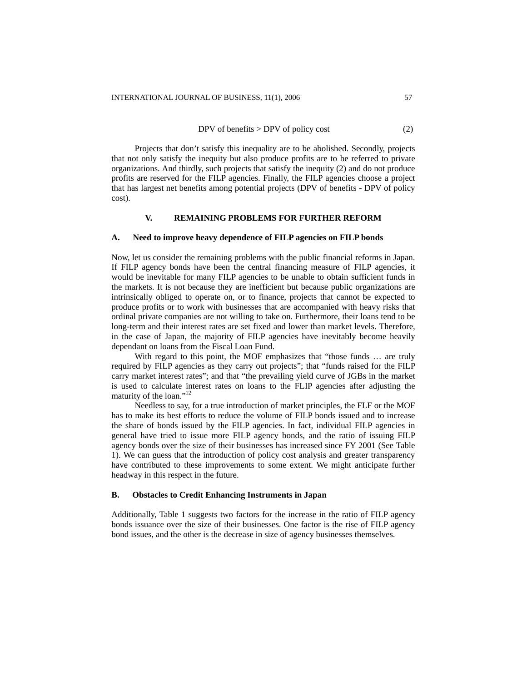DPV of benefits  $>$  DPV of policy cost (2)

Projects that don't satisfy this inequality are to be abolished. Secondly, projects that not only satisfy the inequity but also produce profits are to be referred to private organizations. And thirdly, such projects that satisfy the inequity (2) and do not produce profits are reserved for the FILP agencies. Finally, the FILP agencies choose a project that has largest net benefits among potential projects (DPV of benefits - DPV of policy cost).

# **V. REMAINING PROBLEMS FOR FURTHER REFORM**

## **A. Need to improve heavy dependence of FILP agencies on FILP bonds**

Now, let us consider the remaining problems with the public financial reforms in Japan. If FILP agency bonds have been the central financing measure of FILP agencies, it would be inevitable for many FILP agencies to be unable to obtain sufficient funds in the markets. It is not because they are inefficient but because public organizations are intrinsically obliged to operate on, or to finance, projects that cannot be expected to produce profits or to work with businesses that are accompanied with heavy risks that ordinal private companies are not willing to take on. Furthermore, their loans tend to be long-term and their interest rates are set fixed and lower than market levels. Therefore, in the case of Japan, the majority of FILP agencies have inevitably become heavily dependant on loans from the Fiscal Loan Fund.

With regard to this point, the MOF emphasizes that "those funds ... are truly required by FILP agencies as they carry out projects"; that "funds raised for the FILP carry market interest rates"; and that "the prevailing yield curve of JGBs in the market is used to calculate interest rates on loans to the FLIP agencies after adjusting the maturity of the loan."<sup>12</sup>

Needless to say, for a true introduction of market principles, the FLF or the MOF has to make its best efforts to reduce the volume of FILP bonds issued and to increase the share of bonds issued by the FILP agencies. In fact, individual FILP agencies in general have tried to issue more FILP agency bonds, and the ratio of issuing FILP agency bonds over the size of their businesses has increased since FY 2001 (See Table 1). We can guess that the introduction of policy cost analysis and greater transparency have contributed to these improvements to some extent. We might anticipate further headway in this respect in the future.

#### **B. Obstacles to Credit Enhancing Instruments in Japan**

Additionally, Table 1 suggests two factors for the increase in the ratio of FILP agency bonds issuance over the size of their businesses. One factor is the rise of FILP agency bond issues, and the other is the decrease in size of agency businesses themselves.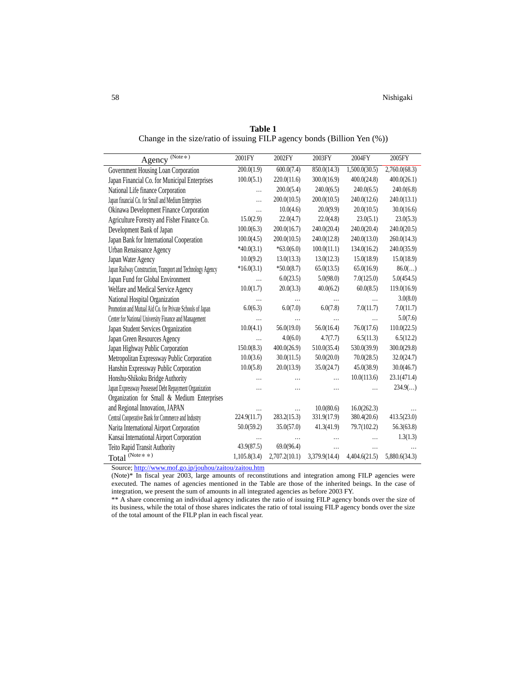| $(Note*)$<br>Agency                                         | 2001FY       | 2002FY        | 2003FY        | 2004FY        | 2005FY        |
|-------------------------------------------------------------|--------------|---------------|---------------|---------------|---------------|
| Government Housing Loan Corporation                         | 200.0(1.9)   | 600.0(7.4)    | 850.0(14.3)   | 1,500.0(30.5) | 2,760.0(68.3) |
| Japan Financial Co. for Municipal Enterprises               | 100.0(5.1)   | 220.0(11.6)   | 300.0(16.9)   | 400.0(24.8)   | 400.0(26.1)   |
| National Life finance Corporation                           | $\cdots$     | 200.0(5.4)    | 240.0(6.5)    | 240.0(6.5)    | 240.0(6.8)    |
| Japan financial Co. for Small and Medium Enterprises        | .            | 200.0(10.5)   | 200.0(10.5)   | 240.0(12.6)   | 240.0(13.1)   |
| Okinawa Development Finance Corporation                     | .            | 10.0(4.6)     | 20.0(9.9)     | 20.0(10.5)    | 30.0(16.6)    |
| Agriculture Forestry and Fisher Finance Co.                 | 15.0(2.9)    | 22.0(4.7)     | 22.0(4.8)     | 23.0(5.1)     | 23.0(5.3)     |
| Development Bank of Japan                                   | 100.0(6.3)   | 200.0(16.7)   | 240.0(20.4)   | 240.0(20.4)   | 240.0(20.5)   |
| Japan Bank for International Cooperation                    | 100.0(4.5)   | 200.0(10.5)   | 240.0(12.8)   | 240.0(13.0)   | 260.0(14.3)   |
| Urban Renaissance Agency                                    | $*40.0(3.1)$ | $*63.0(6.0)$  | 100.0(11.1)   | 134.0(16.2)   | 240.0(35.9)   |
| Japan Water Agency                                          | 10.0(9.2)    | 13.0(13.3)    | 13.0(12.3)    | 15.0(18.9)    | 15.0(18.9)    |
| Japan Railway Construction, Transport and Technology Agency | $*16.0(3.1)$ | $*50.0(8.7)$  | 65.0(13.5)    | 65.0(16.9)    | 86.0()        |
| Japan Fund for Global Environment                           | $\cdots$     | 6.0(23.5)     | 5.0(98.0)     | 7.0(125.0)    | 5.0(454.5)    |
| Welfare and Medical Service Agency                          | 10.0(1.7)    | 20.0(3.3)     | 40.0(6.2)     | 60.0(8.5)     | 119.0(16.9)   |
| National Hospital Organization                              | $\cdots$     | .             | .             | .             | 3.0(8.0)      |
| Promotion and Mutual Aid Co. for Private Schools of Japan   | 6.0(6.3)     | 6.0(7.0)      | 6.0(7.8)      | 7.0(11.7)     | 7.0(11.7)     |
| Center for National University Finance and Management       | $\cdots$     |               | .             | .             | 5.0(7.6)      |
| Japan Student Services Organization                         | 10.0(4.1)    | 56.0(19.0)    | 56.0(16.4)    | 76.0(17.6)    | 110.0(22.5)   |
| Japan Green Resources Agency                                | .            | 4.0(6.0)      | 4.7(7.7)      | 6.5(11.3)     | 6.5(12.2)     |
| Japan Highway Public Corporation                            | 150.0(8.3)   | 400.0(26.9)   | 510.0(35.4)   | 530.0(39.9)   | 300.0(29.8)   |
| Metropolitan Expressway Public Corporation                  | 10.0(3.6)    | 30.0(11.5)    | 50.0(20.0)    | 70.0(28.5)    | 32.0(24.7)    |
| Hanshin Expressway Public Corporation                       | 10.0(5.8)    | 20.0(13.9)    | 35.0(24.7)    | 45.0(38.9)    | 30.0(46.7)    |
| Honshu-Shikoku Bridge Authority                             |              |               | .             | 10.0(113.6)   | 23.1(471.4)   |
| Japan Expressway Possessed Debt Repayment Organization      |              |               | .             |               | 234.9()       |
| Organization for Small & Medium Enterprises                 |              |               |               |               |               |
| and Regional Innovation, JAPAN                              | .            |               | 10.0(80.6)    | 16.0(262.3)   |               |
| Central Cooperative Bank for Commerce and Industry          | 224.9(11.7)  | 283.2(15.3)   | 331.9(17.9)   | 380.4(20.6)   | 413.5(23.0)   |
| Narita International Airport Corporation                    | 50.0(59.2)   | 35.0(57.0)    | 41.3(41.9)    | 79.7(102.2)   | 56.3(63.8)    |
| Kansai International Airport Corporation                    | .            |               | .             |               | 1.3(1.3)      |
| Teito Rapid Transit Authority                               | 43.9(87.5)   | 69.0(96.4)    | .             |               |               |
| Total $^{\textrm{(Note $*\ $*)}}$                           | 1,105.8(3.4) | 2,707.2(10.1) | 3,379.9(14.4) | 4,404.6(21.5) | 5,880.6(34.3) |

**Table 1** Change in the size/ratio of issuing FILP agency bonds (Billion Yen (%))

Source;<http://www.mof.go.jp/jouhou/zaitou/zaitou.htm>

(Note)\* In fiscal year 2003, large amounts of reconstitutions and integration among FILP agencies were executed. The names of agencies mentioned in the Table are those of the inherited beings. In the case of integration, we present the sum of amounts in all integrated agencies as before 2003 FY.

\*\* A share concerning an individual agency indicates the ratio of issuing FILP agency bonds over the size of its business, while the total of those shares indicates the ratio of total issuing FILP agency bonds over the size of the total amount of the FILP plan in each fiscal year.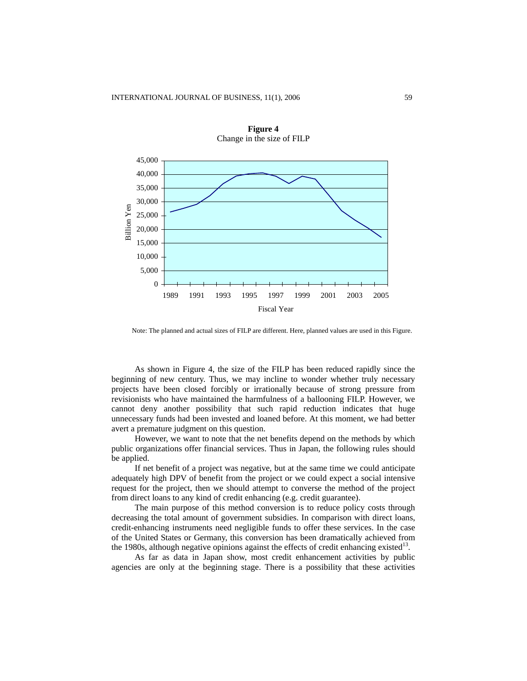

**Figure 4**  Change in the size of FILP

Note: The planned and actual sizes of FILP are different. Here, planned values are used in this Figure.

As shown in Figure 4, the size of the FILP has been reduced rapidly since the beginning of new century. Thus, we may incline to wonder whether truly necessary projects have been closed forcibly or irrationally because of strong pressure from revisionists who have maintained the harmfulness of a ballooning FILP. However, we cannot deny another possibility that such rapid reduction indicates that huge unnecessary funds had been invested and loaned before. At this moment, we had better avert a premature judgment on this question.

However, we want to note that the net benefits depend on the methods by which public organizations offer financial services. Thus in Japan, the following rules should be applied.

If net benefit of a project was negative, but at the same time we could anticipate adequately high DPV of benefit from the project or we could expect a social intensive request for the project, then we should attempt to converse the method of the project from direct loans to any kind of credit enhancing (e.g. credit guarantee).

The main purpose of this method conversion is to reduce policy costs through decreasing the total amount of government subsidies. In comparison with direct loans, credit-enhancing instruments need negligible funds to offer these services. In the case of the United States or Germany, this conversion has been dramatically achieved from the 1980s, although negative opinions against the effects of credit enhancing existed<sup>13</sup>.

As far as data in Japan show, most credit enhancement activities by public agencies are only at the beginning stage. There is a possibility that these activities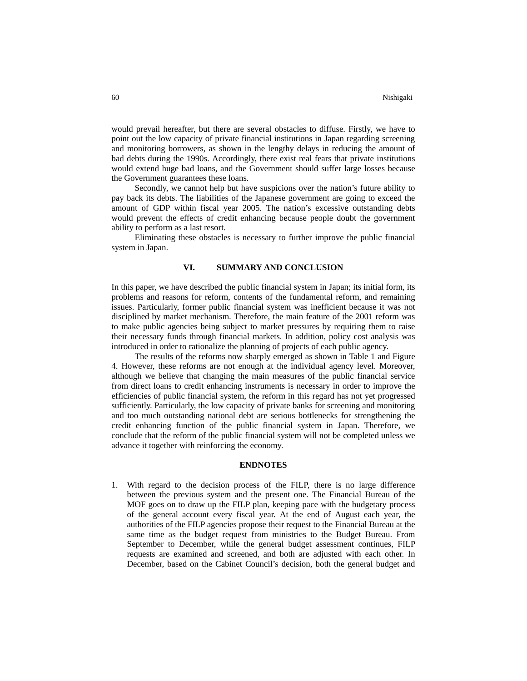would prevail hereafter, but there are several obstacles to diffuse. Firstly, we have to point out the low capacity of private financial institutions in Japan regarding screening and monitoring borrowers, as shown in the lengthy delays in reducing the amount of bad debts during the 1990s. Accordingly, there exist real fears that private institutions would extend huge bad loans, and the Government should suffer large losses because the Government guarantees these loans.

Secondly, we cannot help but have suspicions over the nation's future ability to pay back its debts. The liabilities of the Japanese government are going to exceed the amount of GDP within fiscal year 2005. The nation's excessive outstanding debts would prevent the effects of credit enhancing because people doubt the government ability to perform as a last resort.

Eliminating these obstacles is necessary to further improve the public financial system in Japan.

## **VI. SUMMARY AND CONCLUSION**

In this paper, we have described the public financial system in Japan; its initial form, its problems and reasons for reform, contents of the fundamental reform, and remaining issues. Particularly, former public financial system was inefficient because it was not disciplined by market mechanism. Therefore, the main feature of the 2001 reform was to make public agencies being subject to market pressures by requiring them to raise their necessary funds through financial markets. In addition, policy cost analysis was introduced in order to rationalize the planning of projects of each public agency.

The results of the reforms now sharply emerged as shown in Table 1 and Figure 4. However, these reforms are not enough at the individual agency level. Moreover, although we believe that changing the main measures of the public financial service from direct loans to credit enhancing instruments is necessary in order to improve the efficiencies of public financial system, the reform in this regard has not yet progressed sufficiently. Particularly, the low capacity of private banks for screening and monitoring and too much outstanding national debt are serious bottlenecks for strengthening the credit enhancing function of the public financial system in Japan. Therefore, we conclude that the reform of the public financial system will not be completed unless we advance it together with reinforcing the economy.

#### **ENDNOTES**

1. With regard to the decision process of the FILP, there is no large difference between the previous system and the present one. The Financial Bureau of the MOF goes on to draw up the FILP plan, keeping pace with the budgetary process of the general account every fiscal year. At the end of August each year, the authorities of the FILP agencies propose their request to the Financial Bureau at the same time as the budget request from ministries to the Budget Bureau. From September to December, while the general budget assessment continues, FILP requests are examined and screened, and both are adjusted with each other. In December, based on the Cabinet Council's decision, both the general budget and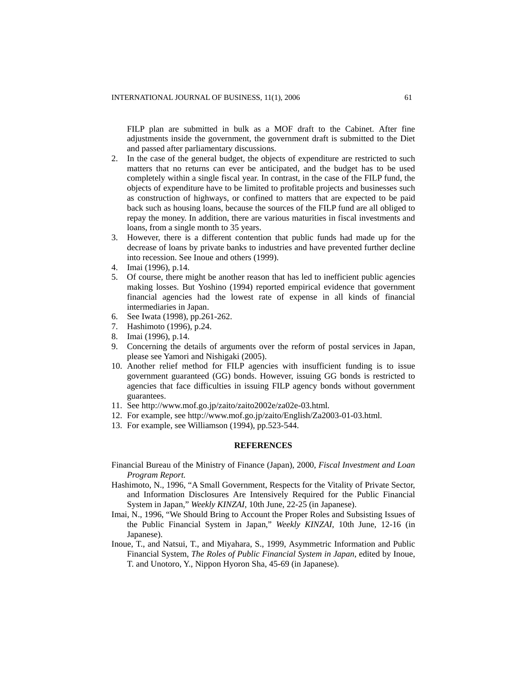FILP plan are submitted in bulk as a MOF draft to the Cabinet. After fine adjustments inside the government, the government draft is submitted to the Diet and passed after parliamentary discussions.

- 2. In the case of the general budget, the objects of expenditure are restricted to such matters that no returns can ever be anticipated, and the budget has to be used completely within a single fiscal year. In contrast, in the case of the FILP fund, the objects of expenditure have to be limited to profitable projects and businesses such as construction of highways, or confined to matters that are expected to be paid back such as housing loans, because the sources of the FILP fund are all obliged to repay the money. In addition, there are various maturities in fiscal investments and loans, from a single month to 35 years.
- 3. However, there is a different contention that public funds had made up for the decrease of loans by private banks to industries and have prevented further decline into recession. See Inoue and others (1999).
- 4. Imai (1996), p.14.
- 5. Of course, there might be another reason that has led to inefficient public agencies making losses. But Yoshino (1994) reported empirical evidence that government financial agencies had the lowest rate of expense in all kinds of financial intermediaries in Japan.
- 6. See Iwata (1998), pp.261-262.
- 7. Hashimoto (1996), p.24.
- 8. Imai (1996), p.14.
- 9. Concerning the details of arguments over the reform of postal services in Japan, please see Yamori and Nishigaki (2005).
- 10. Another relief method for FILP agencies with insufficient funding is to issue government guaranteed (GG) bonds. However, issuing GG bonds is restricted to agencies that face difficulties in issuing FILP agency bonds without government guarantees.
- 11. See [http://www.mof.go.jp/zaito/zaito2002e/za02e-03.html.](http://www.mof.go.jp/zaito/zaito2002e/za02e-03.html)
- 12. For example, see [http://www.mof.go.jp/zaito/English/Za2003-01-03.html.](http://www.mof.go.jp/zaito/English/Za2003-01-03.html)
- 13. For example, see Williamson (1994), pp.523-544.

## **REFERENCES**

- Financial Bureau of the Ministry of Finance (Japan), 2000, *Fiscal Investment and Loan Program Report.*
- Hashimoto, N., 1996, "A Small Government, Respects for the Vitality of Private Sector, and Information Disclosures Are Intensively Required for the Public Financial System in Japan," *Weekly KINZAI*, 10th June, 22-25 (in Japanese).
- Imai, N., 1996, "We Should Bring to Account the Proper Roles and Subsisting Issues of the Public Financial System in Japan," *Weekly KINZAI*, 10th June, 12-16 (in Japanese).
- Inoue, T., and Natsui, T., and Miyahara, S., 1999, Asymmetric Information and Public Financial System, *The Roles of Public Financial System in Japan*, edited by Inoue, T. and Unotoro, Y., Nippon Hyoron Sha, 45-69 (in Japanese).